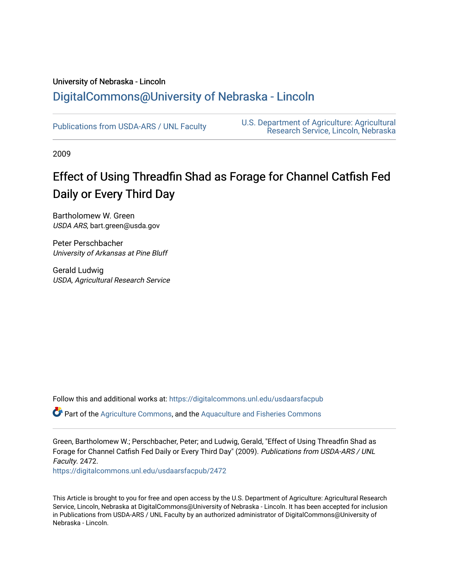## University of Nebraska - Lincoln [DigitalCommons@University of Nebraska - Lincoln](https://digitalcommons.unl.edu/)

[Publications from USDA-ARS / UNL Faculty](https://digitalcommons.unl.edu/usdaarsfacpub) [U.S. Department of Agriculture: Agricultural](https://digitalcommons.unl.edu/usdaars)  [Research Service, Lincoln, Nebraska](https://digitalcommons.unl.edu/usdaars) 

2009

# Effect of Using Threadfin Shad as Forage for Channel Catfish Fed Daily or Every Third Day

Bartholomew W. Green USDA ARS, bart.green@usda.gov

Peter Perschbacher University of Arkansas at Pine Bluff

Gerald Ludwig USDA, Agricultural Research Service

Follow this and additional works at: [https://digitalcommons.unl.edu/usdaarsfacpub](https://digitalcommons.unl.edu/usdaarsfacpub?utm_source=digitalcommons.unl.edu%2Fusdaarsfacpub%2F2472&utm_medium=PDF&utm_campaign=PDFCoverPages)

Part of the [Agriculture Commons](http://network.bepress.com/hgg/discipline/1076?utm_source=digitalcommons.unl.edu%2Fusdaarsfacpub%2F2472&utm_medium=PDF&utm_campaign=PDFCoverPages), and the [Aquaculture and Fisheries Commons](http://network.bepress.com/hgg/discipline/78?utm_source=digitalcommons.unl.edu%2Fusdaarsfacpub%2F2472&utm_medium=PDF&utm_campaign=PDFCoverPages)

Green, Bartholomew W.; Perschbacher, Peter; and Ludwig, Gerald, "Effect of Using Threadfin Shad as Forage for Channel Catfish Fed Daily or Every Third Day" (2009). Publications from USDA-ARS / UNL Faculty. 2472.

[https://digitalcommons.unl.edu/usdaarsfacpub/2472](https://digitalcommons.unl.edu/usdaarsfacpub/2472?utm_source=digitalcommons.unl.edu%2Fusdaarsfacpub%2F2472&utm_medium=PDF&utm_campaign=PDFCoverPages) 

This Article is brought to you for free and open access by the U.S. Department of Agriculture: Agricultural Research Service, Lincoln, Nebraska at DigitalCommons@University of Nebraska - Lincoln. It has been accepted for inclusion in Publications from USDA-ARS / UNL Faculty by an authorized administrator of DigitalCommons@University of Nebraska - Lincoln.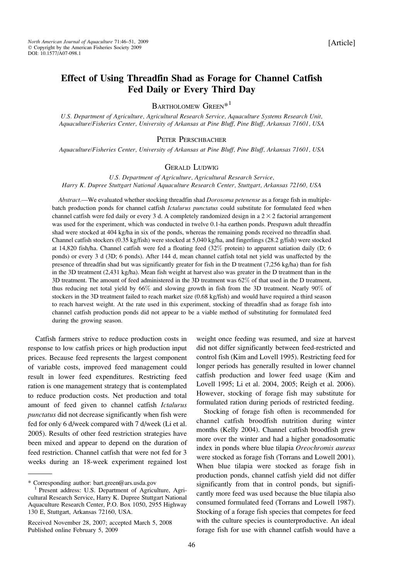### Effect of Using Threadfin Shad as Forage for Channel Catfish Fed Daily or Every Third Day

## $\textsc{Bar}$  HOLOMEW  $\textsc{Green}^{*1}$

U.S. Department of Agriculture, Agricultural Research Service, Aquaculture Systems Research Unit, Aquaculture/Fisheries Center, University of Arkansas at Pine Bluff, Pine Bluff, Arkansas 71601, USA

#### PETER PERSCHBACHER

Aquaculture/Fisheries Center, University of Arkansas at Pine Bluff, Pine Bluff, Arkansas 71601, USA

#### GERALD LUDWIG

U.S. Department of Agriculture, Agricultural Research Service, Harry K. Dupree Stuttgart National Aquaculture Research Center, Stuttgart, Arkansas 72160, USA

Abstract.—We evaluated whether stocking threadfin shad Dorosoma petenense as a forage fish in multiplebatch production ponds for channel catfish Ictalurus punctatus could substitute for formulated feed when channel catfish were fed daily or every 3 d. A completely randomized design in a  $2 \times 2$  factorial arrangement was used for the experiment, which was conducted in twelve 0.1-ha earthen ponds. Prespawn adult threadfin shad were stocked at 404 kg/ha in six of the ponds, whereas the remaining ponds received no threadfin shad. Channel catfish stockers (0.35 kg/fish) were stocked at 5,040 kg/ha, and fingerlings (28.2 g/fish) were stocked at 14,820 fish/ha. Channel catfish were fed a floating feed (32% protein) to apparent satiation daily (D; 6 ponds) or every 3 d (3D; 6 ponds). After 144 d, mean channel catfish total net yield was unaffected by the presence of threadfin shad but was significantly greater for fish in the D treatment (7,256 kg/ha) than for fish in the 3D treatment (2,431 kg/ha). Mean fish weight at harvest also was greater in the D treatment than in the 3D treatment. The amount of feed administered in the 3D treatment was 62% of that used in the D treatment, thus reducing net total yield by 66% and slowing growth in fish from the 3D treatment. Nearly 90% of stockers in the 3D treatment failed to reach market size (0.68 kg/fish) and would have required a third season to reach harvest weight. At the rate used in this experiment, stocking of threadfin shad as forage fish into channel catfish production ponds did not appear to be a viable method of substituting for formulated feed during the growing season.

Catfish farmers strive to reduce production costs in response to low catfish prices or high production input prices. Because feed represents the largest component of variable costs, improved feed management could result in lower feed expenditures. Restricting feed ration is one management strategy that is contemplated to reduce production costs. Net production and total amount of feed given to channel catfish Ictalurus punctatus did not decrease significantly when fish were fed for only 6 d/week compared with 7 d/week (Li et al. 2005). Results of other feed restriction strategies have been mixed and appear to depend on the duration of feed restriction. Channel catfish that were not fed for 3 weeks during an 18-week experiment regained lost

weight once feeding was resumed, and size at harvest did not differ significantly between feed-restricted and control fish (Kim and Lovell 1995). Restricting feed for longer periods has generally resulted in lower channel catfish production and lower feed usage (Kim and Lovell 1995; Li et al. 2004, 2005; Reigh et al. 2006). However, stocking of forage fish may substitute for formulated ration during periods of restricted feeding.

Stocking of forage fish often is recommended for channel catfish broodfish nutrition during winter months (Kelly 2004). Channel catfish broodfish grew more over the winter and had a higher gonadosomatic index in ponds where blue tilapia Oreochromis aureus were stocked as forage fish (Torrans and Lowell 2001). When blue tilapia were stocked as forage fish in production ponds, channel catfish yield did not differ significantly from that in control ponds, but significantly more feed was used because the blue tilapia also consumed formulated feed (Torrans and Lowell 1987). Stocking of a forage fish species that competes for feed with the culture species is counterproductive. An ideal forage fish for use with channel catfish would have a

<sup>\*</sup> Corresponding author: bart.green@ars.usda.gov <sup>1</sup> Present address: U.S. Department of Agriculture, Agricultural Research Service, Harry K. Dupree Stuttgart National Aquaculture Research Center, P.O. Box 1050, 2955 Highway 130 E, Stuttgart, Arkansas 72160, USA.

Received November 28, 2007; accepted March 5, 2008 Published online February 5, 2009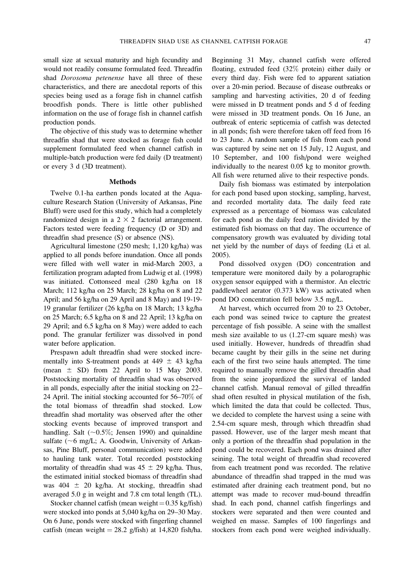small size at sexual maturity and high fecundity and would not readily consume formulated feed. Threadfin shad Dorosoma petenense have all three of these characteristics, and there are anecdotal reports of this species being used as a forage fish in channel catfish broodfish ponds. There is little other published information on the use of forage fish in channel catfish production ponds.

The objective of this study was to determine whether threadfin shad that were stocked as forage fish could supplement formulated feed when channel catfish in multiple-batch production were fed daily (D treatment) or every 3 d (3D treatment).

#### Methods

Twelve 0.1-ha earthen ponds located at the Aquaculture Research Station (University of Arkansas, Pine Bluff) were used for this study, which had a completely randomized design in a  $2 \times 2$  factorial arrangement. Factors tested were feeding frequency (D or 3D) and threadfin shad presence (S) or absence (NS).

Agricultural limestone (250 mesh; 1,120 kg/ha) was applied to all ponds before inundation. Once all ponds were filled with well water in mid-March 2003, a fertilization program adapted from Ludwig et al. (1998) was initiated. Cottonseed meal (280 kg/ha on 18 March; 112 kg/ha on 25 March; 28 kg/ha on 8 and 22 April; and 56 kg/ha on 29 April and 8 May) and 19-19- 19 granular fertilizer (26 kg/ha on 18 March; 13 kg/ha on 25 March; 6.5 kg/ha on 8 and 22 April; 13 kg/ha on 29 April; and 6.5 kg/ha on 8 May) were added to each pond. The granular fertilizer was dissolved in pond water before application.

Prespawn adult threadfin shad were stocked incrementally into S-treatment ponds at 449  $\pm$  43 kg/ha (mean  $\pm$  SD) from 22 April to 15 May 2003. Poststocking mortality of threadfin shad was observed in all ponds, especially after the initial stocking on 22– 24 April. The initial stocking accounted for 56–70% of the total biomass of threadfin shad stocked. Low threadfin shad mortality was observed after the other stocking events because of improved transport and handling. Salt  $(-0.5\%;$  Jensen 1990) and quinaldine sulfate ( $\sim$ 6 mg/L; A. Goodwin, University of Arkansas, Pine Bluff, personal communication) were added to hauling tank water. Total recorded poststocking mortality of threadfin shad was  $45 \pm 29$  kg/ha. Thus, the estimated initial stocked biomass of threadfin shad was  $404 \pm 20$  kg/ha. At stocking, threadfin shad averaged 5.0 g in weight and 7.8 cm total length (TL).

Stocker channel catfish (mean weight =  $0.35$  kg/fish) were stocked into ponds at 5,040 kg/ha on 29–30 May. On 6 June, ponds were stocked with fingerling channel catfish (mean weight =  $28.2$  g/fish) at 14,820 fish/ha.

Beginning 31 May, channel catfish were offered floating, extruded feed (32% protein) either daily or every third day. Fish were fed to apparent satiation over a 20-min period. Because of disease outbreaks or sampling and harvesting activities, 20 d of feeding were missed in D treatment ponds and 5 d of feeding were missed in 3D treatment ponds. On 16 June, an outbreak of enteric septicemia of catfish was detected in all ponds; fish were therefore taken off feed from 16 to 23 June. A random sample of fish from each pond was captured by seine net on 15 July, 12 August, and 10 September, and 100 fish/pond were weighed individually to the nearest 0.05 kg to monitor growth. All fish were returned alive to their respective ponds.

Daily fish biomass was estimated by interpolation for each pond based upon stocking, sampling, harvest, and recorded mortality data. The daily feed rate expressed as a percentage of biomass was calculated for each pond as the daily feed ration divided by the estimated fish biomass on that day. The occurrence of compensatory growth was evaluated by dividing total net yield by the number of days of feeding (Li et al. 2005).

Pond dissolved oxygen (DO) concentration and temperature were monitored daily by a polarographic oxygen sensor equipped with a thermistor. An electric paddlewheel aerator (0.373 kW) was activated when pond DO concentration fell below 3.5 mg/L.

At harvest, which occurred from 20 to 23 October, each pond was seined twice to capture the greatest percentage of fish possible. A seine with the smallest mesh size available to us (1.27-cm square mesh) was used initially. However, hundreds of threadfin shad became caught by their gills in the seine net during each of the first two seine hauls attempted. The time required to manually remove the gilled threadfin shad from the seine jeopardized the survival of landed channel catfish. Manual removal of gilled threadfin shad often resulted in physical mutilation of the fish, which limited the data that could be collected. Thus, we decided to complete the harvest using a seine with 2.54-cm square mesh, through which threadfin shad passed. However, use of the larger mesh meant that only a portion of the threadfin shad population in the pond could be recovered. Each pond was drained after seining. The total weight of threadfin shad recovered from each treatment pond was recorded. The relative abundance of threadfin shad trapped in the mud was estimated after draining each treatment pond, but no attempt was made to recover mud-bound threadfin shad. In each pond, channel catfish fingerlings and stockers were separated and then were counted and weighed en masse. Samples of 100 fingerlings and stockers from each pond were weighed individually.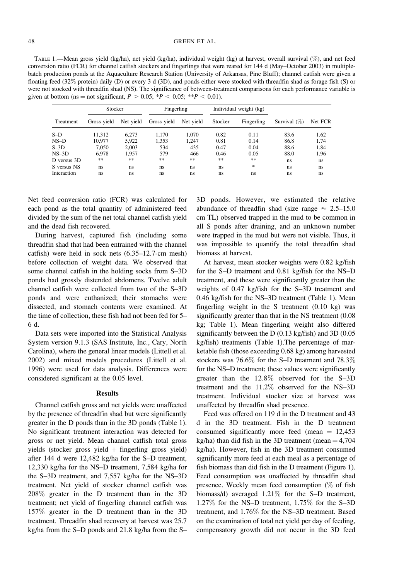TABLE 1.—Mean gross yield (kg/ha), net yield (kg/ha), individual weight (kg) at harvest, overall survival (%), and net feed conversion ratio (FCR) for channel catfish stockers and fingerlings that were reared for 144 d (May–October 2003) in multiplebatch production ponds at the Aquaculture Research Station (University of Arkansas, Pine Bluff); channel catfish were given a floating feed (32% protein) daily (D) or every 3 d (3D), and ponds either were stocked with threadfin shad as forage fish (S) or were not stocked with threadfin shad (NS). The significance of between-treatment comparisons for each performance variable is given at bottom (ns = not significant,  $P > 0.05$ ; \* $P < 0.05$ ; \*\* $P < 0.01$ ).

| Treatment   | Stocker     |           | Fingerling  |           | Individual weight (kg) |            |                 |         |
|-------------|-------------|-----------|-------------|-----------|------------------------|------------|-----------------|---------|
|             | Gross yield | Net yield | Gross yield | Net vield | Stocker                | Fingerling | Survival $(\%)$ | Net FCR |
| $S-D$       | 11.312      | 6.273     | 1.170       | 1.070     | 0.82                   | 0.11       | 83.6            | 1.62    |
| $NS-D$      | 10.977      | 5,922     | 1,353       | 1.247     | 0.81                   | 0.14       | 86.8            | 1.74    |
| $S-3D$      | 7.050       | 2.003     | 534         | 435       | 0.47                   | 0.04       | 88.6            | 1.84    |
| $NS-3D$     | 6.978       | 1.957     | 579         | 466       | 0.46                   | 0.05       | 88.0            | 1.96    |
| D versus 3D | **          | **        | **          | **        | **                     | **         | ns              | ns.     |
| S versus NS | ns          | ns        | ns          | ns        | ns                     | *          | ns              | ns.     |
| Interaction | ns          | ns        | ns          | ns        | ns                     | ns         | ns              | ns      |

Net feed conversion ratio (FCR) was calculated for each pond as the total quantity of administered feed divided by the sum of the net total channel catfish yield and the dead fish recovered.

During harvest, captured fish (including some threadfin shad that had been entrained with the channel catfish) were held in sock nets (6.35–12.7-cm mesh) before collection of weight data. We observed that some channel catfish in the holding socks from S–3D ponds had grossly distended abdomens. Twelve adult channel catfish were collected from two of the S–3D ponds and were euthanized; their stomachs were dissected, and stomach contents were examined. At the time of collection, these fish had not been fed for 5– 6 d.

Data sets were imported into the Statistical Analysis System version 9.1.3 (SAS Institute, Inc., Cary, North Carolina), where the general linear models (Littell et al. 2002) and mixed models procedures (Littell et al. 1996) were used for data analysis. Differences were considered significant at the 0.05 level.

#### Results

Channel catfish gross and net yields were unaffected by the presence of threadfin shad but were significantly greater in the D ponds than in the 3D ponds (Table 1). No significant treatment interaction was detected for gross or net yield. Mean channel catfish total gross yields (stocker gross yield  $+$  fingerling gross yield) after 144 d were 12,482 kg/ha for the S–D treatment, 12,330 kg/ha for the NS–D treatment, 7,584 kg/ha for the S–3D treatment, and 7,557 kg/ha for the NS–3D treatment. Net yield of stocker channel catfish was 208% greater in the D treatment than in the 3D treatment; net yield of fingerling channel catfish was 157% greater in the D treatment than in the 3D treatment. Threadfin shad recovery at harvest was 25.7 kg/ha from the S–D ponds and 21.8 kg/ha from the S– 3D ponds. However, we estimated the relative abundance of threadfin shad (size range  $\approx 2.5$ –15.0 cm TL) observed trapped in the mud to be common in all S ponds after draining, and an unknown number were trapped in the mud but were not visible. Thus, it was impossible to quantify the total threadfin shad biomass at harvest.

At harvest, mean stocker weights were 0.82 kg/fish for the S–D treatment and 0.81 kg/fish for the NS–D treatment, and these were significantly greater than the weights of 0.47 kg/fish for the S–3D treatment and 0.46 kg/fish for the NS–3D treatment (Table 1). Mean fingerling weight in the S treatment (0.10 kg) was significantly greater than that in the NS treatment (0.08 kg; Table 1). Mean fingerling weight also differed significantly between the D (0.13 kg/fish) and 3D (0.05 kg/fish) treatments (Table 1).The percentage of marketable fish (those exceeding 0.68 kg) among harvested stockers was 76.6% for the S–D treatment and 78.3% for the NS–D treatment; these values were significantly greater than the 12.8% observed for the S–3D treatment and the 11.2% observed for the NS–3D treatment. Individual stocker size at harvest was unaffected by threadfin shad presence.

Feed was offered on 119 d in the D treatment and 43 d in the 3D treatment. Fish in the D treatment consumed significantly more feed (mean  $= 12,453$ ) kg/ha) than did fish in the 3D treatment (mean  $=$  4,704 kg/ha). However, fish in the 3D treatment consumed significantly more feed at each meal as a percentage of fish biomass than did fish in the D treatment (Figure 1). Feed consumption was unaffected by threadfin shad presence. Weekly mean feed consumption (% of fish biomass/d) averaged 1.21% for the S–D treatment, 1.27% for the NS–D treatment, 1.75% for the S–3D treatment, and 1.76% for the NS–3D treatment. Based on the examination of total net yield per day of feeding, compensatory growth did not occur in the 3D feed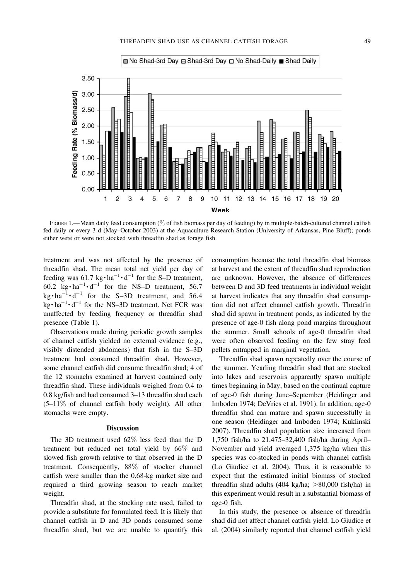

FIGURE 1.—Mean daily feed consumption (% of fish biomass per day of feeding) by in multiple-batch-cultured channel catfish fed daily or every 3 d (May–October 2003) at the Aquaculture Research Station (University of Arkansas, Pine Bluff); ponds either were or were not stocked with threadfin shad as forage fish.

treatment and was not affected by the presence of threadfin shad. The mean total net yield per day of feeding was 61.7 kg $\cdot$  ha<sup>-1</sup> $\cdot$  d<sup>-1</sup> for the S-D treatment, 60.2  $\text{kg} \cdot \text{ha}^{-1} \cdot \text{d}^{-1}$  for the NS-D treatment, 56.7  $\text{kg} \cdot \text{ha}^{-1} \cdot \text{d}^{-1}$  for the S-3D treatment, and 56.4  $\text{kg} \cdot \text{ha}^{-1} \cdot \text{d}^{-1}$  for the NS–3D treatment. Net FCR was unaffected by feeding frequency or threadfin shad presence (Table 1).

Observations made during periodic growth samples of channel catfish yielded no external evidence (e.g., visibly distended abdomens) that fish in the S–3D treatment had consumed threadfin shad. However, some channel catfish did consume threadfin shad; 4 of the 12 stomachs examined at harvest contained only threadfin shad. These individuals weighed from 0.4 to 0.8 kg/fish and had consumed 3–13 threadfin shad each  $(5-11\%$  of channel catfish body weight). All other stomachs were empty.

#### **Discussion**

The 3D treatment used 62% less feed than the D treatment but reduced net total yield by 66% and slowed fish growth relative to that observed in the D treatment. Consequently, 88% of stocker channel catfish were smaller than the 0.68-kg market size and required a third growing season to reach market weight.

Threadfin shad, at the stocking rate used, failed to provide a substitute for formulated feed. It is likely that channel catfish in D and 3D ponds consumed some threadfin shad, but we are unable to quantify this consumption because the total threadfin shad biomass at harvest and the extent of threadfin shad reproduction are unknown. However, the absence of differences between D and 3D feed treatments in individual weight at harvest indicates that any threadfin shad consumption did not affect channel catfish growth. Threadfin shad did spawn in treatment ponds, as indicated by the presence of age-0 fish along pond margins throughout the summer. Small schools of age-0 threadfin shad were often observed feeding on the few stray feed pellets entrapped in marginal vegetation.

Threadfin shad spawn repeatedly over the course of the summer. Yearling threadfin shad that are stocked into lakes and reservoirs apparently spawn multiple times beginning in May, based on the continual capture of age-0 fish during June–September (Heidinger and Imboden 1974; DeVries et al. 1991). In addition, age-0 threadfin shad can mature and spawn successfully in one season (Heidinger and Imboden 1974; Kuklinski 2007). Threadfin shad population size increased from 1,750 fish/ha to 21,475–32,400 fish/ha during April– November and yield averaged 1,375 kg/ha when this species was co-stocked in ponds with channel catfish (Lo Giudice et al. 2004). Thus, it is reasonable to expect that the estimated initial biomass of stocked threadfin shad adults  $(404 \text{ kg/ha}; >80,000 \text{ fish/ha})$  in this experiment would result in a substantial biomass of age-0 fish.

In this study, the presence or absence of threadfin shad did not affect channel catfish yield. Lo Giudice et al. (2004) similarly reported that channel catfish yield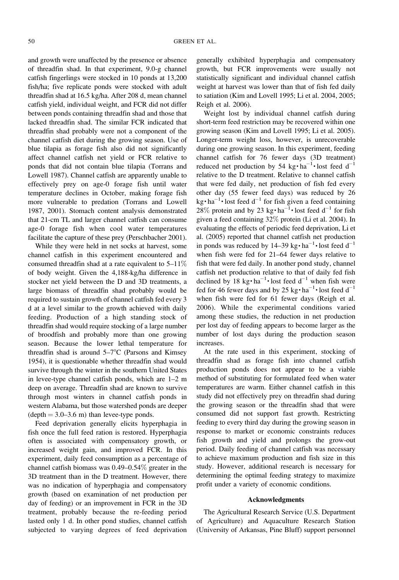and growth were unaffected by the presence or absence of threadfin shad. In that experiment, 9.0-g channel catfish fingerlings were stocked in 10 ponds at 13,200 fish/ha; five replicate ponds were stocked with adult threadfin shad at 16.5 kg/ha. After 208 d, mean channel catfish yield, individual weight, and FCR did not differ between ponds containing threadfin shad and those that lacked threadfin shad. The similar FCR indicated that threadfin shad probably were not a component of the channel catfish diet during the growing season. Use of blue tilapia as forage fish also did not significantly affect channel catfish net yield or FCR relative to ponds that did not contain blue tilapia (Torrans and Lowell 1987). Channel catfish are apparently unable to effectively prey on age-0 forage fish until water temperature declines in October, making forage fish more vulnerable to predation (Torrans and Lowell 1987, 2001). Stomach content analysis demonstrated that 21-cm TL and larger channel catfish can consume age-0 forage fish when cool water temperatures facilitate the capture of these prey (Perschbacher 2001).

While they were held in net socks at harvest, some channel catfish in this experiment encountered and consumed threadfin shad at a rate equivalent to 5–11% of body weight. Given the 4,188-kg/ha difference in stocker net yield between the D and 3D treatments, a large biomass of threadfin shad probably would be required to sustain growth of channel catfish fed every 3 d at a level similar to the growth achieved with daily feeding. Production of a high standing stock of threadfin shad would require stocking of a large number of broodfish and probably more than one growing season. Because the lower lethal temperature for threadfin shad is around  $5-7$ °C (Parsons and Kimsey 1954), it is questionable whether threadfin shad would survive through the winter in the southern United States in levee-type channel catfish ponds, which are 1–2 m deep on average. Threadfin shad are known to survive through most winters in channel catfish ponds in western Alabama, but those watershed ponds are deeper  $(depth = 3.0-3.6 \text{ m})$  than levee-type ponds.

Feed deprivation generally elicits hyperphagia in fish once the full feed ration is restored. Hyperphagia often is associated with compensatory growth, or increased weight gain, and improved FCR. In this experiment, daily feed consumption as a percentage of channel catfish biomass was 0.49–0.54% greater in the 3D treatment than in the D treatment. However, there was no indication of hyperphagia and compensatory growth (based on examination of net production per day of feeding) or an improvement in FCR in the 3D treatment, probably because the re-feeding period lasted only 1 d. In other pond studies, channel catfish subjected to varying degrees of feed deprivation generally exhibited hyperphagia and compensatory growth, but FCR improvements were usually not statistically significant and individual channel catfish weight at harvest was lower than that of fish fed daily to satiation (Kim and Lovell 1995; Li et al. 2004, 2005; Reigh et al. 2006).

Weight lost by individual channel catfish during short-term feed restriction may be recovered within one growing season (Kim and Lovell 1995; Li et al. 2005). Longer-term weight loss, however, is unrecoverable during one growing season. In this experiment, feeding channel catfish for 76 fewer days (3D treatment) reduced net production by 54 kg $\cdot$  ha<sup>-1</sup> $\cdot$  lost feed d<sup>-1</sup> relative to the D treatment. Relative to channel catfish that were fed daily, net production of fish fed every other day (55 fewer feed days) was reduced by 26  $\text{kg} \cdot \text{ha}^{-1} \cdot \text{lost feed } d^{-1}$  for fish given a feed containing 28% protein and by 23 kg $\cdot$  ha<sup>-1</sup> $\cdot$  lost feed d<sup>-1</sup> for fish given a feed containing 32% protein (Li et al. 2004). In evaluating the effects of periodic feed deprivation, Li et al. (2005) reported that channel catfish net production in ponds was reduced by  $14-39 \text{ kg} \cdot \text{ha}^{-1} \cdot \text{lost feed } d^{-1}$ when fish were fed for 21–64 fewer days relative to fish that were fed daily. In another pond study, channel catfish net production relative to that of daily fed fish declined by 18 kg $\cdot$  ha<sup>-1</sup> $\cdot$  lost feed d<sup>-1</sup> when fish were fed for 46 fewer days and by 25 kg $\cdot$  ha<sup>-1</sup> $\cdot$  lost feed d<sup>-1</sup> when fish were fed for 61 fewer days (Reigh et al. 2006). While the experimental conditions varied among these studies, the reduction in net production per lost day of feeding appears to become larger as the number of lost days during the production season increases.

At the rate used in this experiment, stocking of threadfin shad as forage fish into channel catfish production ponds does not appear to be a viable method of substituting for formulated feed when water temperatures are warm. Either channel catfish in this study did not effectively prey on threadfin shad during the growing season or the threadfin shad that were consumed did not support fast growth. Restricting feeding to every third day during the growing season in response to market or economic constraints reduces fish growth and yield and prolongs the grow-out period. Daily feeding of channel catfish was necessary to achieve maximum production and fish size in this study. However, additional research is necessary for determining the optimal feeding strategy to maximize profit under a variety of economic conditions.

#### Acknowledgments

The Agricultural Research Service (U.S. Department of Agriculture) and Aquaculture Research Station (University of Arkansas, Pine Bluff) support personnel